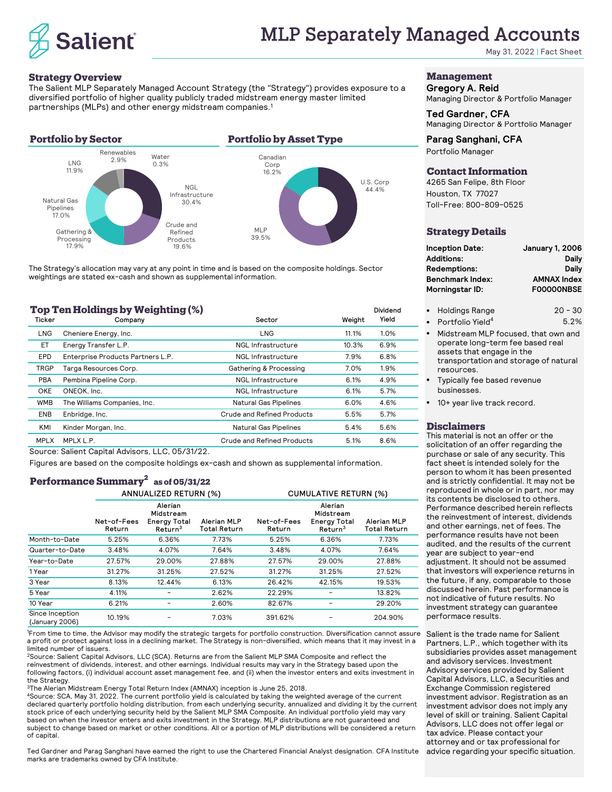

May 31, 2022 | Fact Sheet

#### **Strategy Overview**

The Salient MLP Separately Managed Account Strategy (the "Strategy") provides exposure to a diversified portfolio of higher quality publicly traded midstream energy master limited partnerships (MLPs) and other energy midstream companies.1

### **Portfolio by Sector Portfolio by Asset Type**



The Strategy's allocation may vary at any point in time and is based on the composite holdings. Sector weightings are stated ex-cash and shown as supplemental information.

| 1 op 1 en Holdings by Weighting (%) |        |                       |                    |        |       |  |
|-------------------------------------|--------|-----------------------|--------------------|--------|-------|--|
|                                     | Ticker | Company               | Sector             | Weight | Yield |  |
|                                     | ∟NG    | Cheniere Energy, Inc. | LNG                | 11.1%  | 1.0%  |  |
|                                     | EТ     | Energy Transfer L.P.  | NGL Infrastructure | 10.3%  | 6.9%  |  |

| EPD        | Enterprise Products Partners L.P. | NGL Infrastructure           | 7.9% | 6.8% |
|------------|-----------------------------------|------------------------------|------|------|
| TRGP       | Targa Resources Corp.             | Gathering & Processing       | 7.0% | 1.9% |
| <b>PBA</b> | Pembina Pipeline Corp.            | <b>NGL Infrastructure</b>    | 6.1% | 4.9% |
| OKE        | ONEOK, Inc.                       | <b>NGL Infrastructure</b>    | 6.1% | 5.7% |
| <b>WMB</b> | The Williams Companies, Inc.      | <b>Natural Gas Pipelines</b> | 6.0% | 4.6% |
| <b>ENB</b> | Enbridge, Inc.                    | Crude and Refined Products   | 5.5% | 5.7% |
| KMI        | Kinder Morgan, Inc.               | <b>Natural Gas Pipelines</b> | 5.4% | 5.6% |
| MPI X      | MPLX L.P.                         | Crude and Refined Products   | 5.1% | 8.6% |

Source: Salient Capital Advisors, LLC, 05/31/22.

**Top Ten Holdings by Weighting (%)**

Figures are based on the composite holdings ex-cash and shown as supplemental information.

## **Performance Summary<sup>2</sup> as of 05/31/22**

|                                   |                       | ANNUALIZED RETURN (%)                                              |                                           | <b>CUMULATIVE RETURN (%)</b> |                                                                    |                                    |  |
|-----------------------------------|-----------------------|--------------------------------------------------------------------|-------------------------------------------|------------------------------|--------------------------------------------------------------------|------------------------------------|--|
|                                   | Net-of-Fees<br>Return | Alerian<br>Midstream<br><b>Energy Total</b><br>Return <sup>3</sup> | <b>Alerian MLP</b><br><b>Total Return</b> | Net-of-Fees<br>Return        | Alerian<br>Midstream<br><b>Energy Total</b><br>Return <sup>3</sup> | Alerian MLP<br><b>Total Return</b> |  |
| Month-to-Date                     | 5.25%                 | 6.36%                                                              | 7.73%                                     | 5.25%                        | 6.36%                                                              | 7.73%                              |  |
| Quarter-to-Date                   | 3.48%                 | 4.07%                                                              | 7.64%                                     | 3.48%                        | 4.07%                                                              | 7.64%                              |  |
| Year-to-Date                      | 27.57%                | 29.00%                                                             | 27.88%                                    | 27.57%                       | 29.00%                                                             | 27.88%                             |  |
| 1 Year                            | 31.27%                | 31.25%                                                             | 27.52%                                    | 31.27%                       | 31.25%                                                             | 27.52%                             |  |
| 3 Year                            | 8.13%                 | 12.44%                                                             | 6.13%                                     | 26.42%                       | 42.15%                                                             | 19.53%                             |  |
| 5 Year                            | 4.11%                 |                                                                    | 2.62%                                     | 22.29%                       |                                                                    | 13.82%                             |  |
| 10 Year                           | 6.21%                 |                                                                    | 2.60%                                     | 82.67%                       |                                                                    | 29.20%                             |  |
| Since Inception<br>(January 2006) | 10.19%                |                                                                    | 7.03%                                     | 391.62%                      | -                                                                  | 204.90%                            |  |

1 From time to time, the Advisor may modify the strategic targets for portfolio construction. Diversification cannot assure a profit or protect against loss in a declining market. The Strategy is non-diversified, which means that it may invest in a limited number of issuers.

2Source: Salient Capital Advisors, LLC (SCA). Returns are from the Salient MLP SMA Composite and reflect the reinvestment of dividends, interest, and other earnings. Individual results may vary in the Strategy based upon the following factors, (i) individual account asset management fee, and (ii) when the investor enters and exits investment in the Strategy.

3The Alerian Midstream Energy Total Return Index (AMNAX) inception is June 25, 2018.

4Source: SCA, May 31, 2022. The current portfolio yield is calculated by taking the weighted average of the current declared quarterly portfolio holding distribution, from each underlying security, annualized and dividing it by the current stock price of each underlying security held by the Salient MLP SMA Composite. An individual portfolio yield may vary based on when the investor enters and exits investment in the Strategy. MLP distributions are not guaranteed and subject to change based on market or other conditions. All or a portion of MLP distributions will be considered a return of capital.

Ted Gardner and Parag Sanghani have earned the right to use the Chartered Financial Analyst designation. CFA Institute marks are trademarks owned by CFA Institute..

## **Management**

**Gregory A. Reid** Managing Director & Portfolio Manager

#### **Ted Gardner, CFA** Managing Director & Portfolio Manager

**Parag Sanghani, CFA** Portfolio Manager

#### **Contact Information**

4265 San Felipe, 8th Floor Houston, TX 77027 Toll-Free: 800-809-0525

#### **Strategy Details**

| <b>Inception Date:</b>  | <b>January 1, 2006</b> |
|-------------------------|------------------------|
| <b>Additions:</b>       | Daily                  |
| Redemptions:            | Daily                  |
| <b>Benchmark Index:</b> | <b>AMNAX Index</b>     |
| Morningstar ID:         | <b>FOOOOONBSE</b>      |
|                         |                        |

- Holdings Range 20 30
- Portfolio Yield<sup>4</sup> 5.2% •
- Midstream MLP focused, that own and operate long-term fee based real assets that engage in the transportation and storage of natural resources.
- Typically fee based revenue businesses.
- 10+ year live track record.

#### **Disclaimers**

Dividend Yield

U.S. Corp 44.4%

This material is not an offer or the solicitation of an offer regarding the purchase or sale of any security. This fact sheet is intended solely for the person to whom it has been presented and is strictly confidential. It may not be reproduced in whole or in part, nor may its contents be disclosed to others. Performance described herein reflects the reinvestment of interest, dividends and other earnings, net of fees. The performance results have not been audited, and the results of the current year are subject to year-end adjustment. It should not be assumed that investors will experience returns in the future, if any, comparable to those discussed herein. Past performance is not indicative of future results. No investment strategy can guarantee performace results.

Salient is the trade name for Salient Partners, L.P., which together with its subsidiaries provides asset management and advisory services. Investment Advisory services provided by Salient Capital Advisors, LLC, a Securities and Exchange Commission registered investment advisor. Registration as an investment advisor does not imply any level of skill or training. Salient Capital Advisors, LLC does not offer legal or tax advice. Please contact your attorney and or tax professional for advice regarding your specific situation.